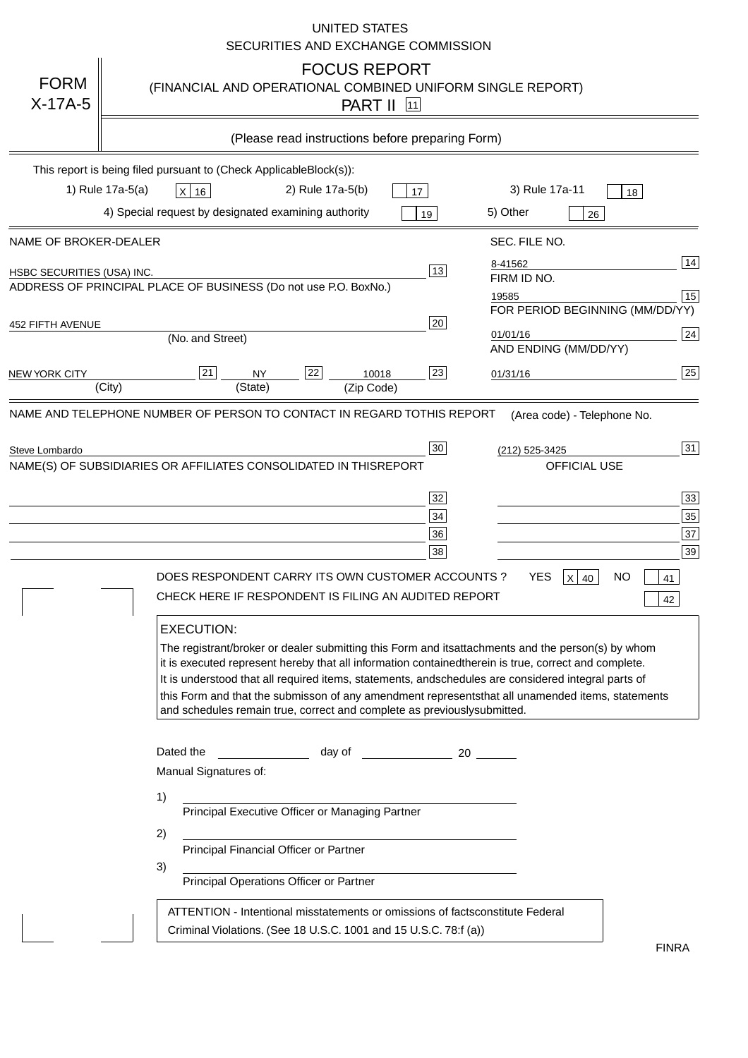|                                   | <b>UNITED STATES</b><br>SECURITIES AND EXCHANGE COMMISSION                                                                                                                                                                                                                                                                                                                                                                                                                                                                                                                                                                                                                                                                                                                                                                                                                                             |
|-----------------------------------|--------------------------------------------------------------------------------------------------------------------------------------------------------------------------------------------------------------------------------------------------------------------------------------------------------------------------------------------------------------------------------------------------------------------------------------------------------------------------------------------------------------------------------------------------------------------------------------------------------------------------------------------------------------------------------------------------------------------------------------------------------------------------------------------------------------------------------------------------------------------------------------------------------|
| <b>FORM</b><br>$X-17A-5$          | <b>FOCUS REPORT</b><br>(FINANCIAL AND OPERATIONAL COMBINED UNIFORM SINGLE REPORT)<br><b>PART II</b> 11                                                                                                                                                                                                                                                                                                                                                                                                                                                                                                                                                                                                                                                                                                                                                                                                 |
|                                   | (Please read instructions before preparing Form)                                                                                                                                                                                                                                                                                                                                                                                                                                                                                                                                                                                                                                                                                                                                                                                                                                                       |
|                                   | This report is being filed pursuant to (Check Applicable<br>$Block(s)$ :<br>3) Rule 17a-11<br>1) Rule 17a-5(a)<br>2) Rule 17a-5(b)<br>$X$ 16<br>17<br>18<br>4) Special request by designated examining authority<br>5) Other                                                                                                                                                                                                                                                                                                                                                                                                                                                                                                                                                                                                                                                                           |
| NAME OF BROKER-DEALER             | 19<br>26<br>SEC. FILE NO.                                                                                                                                                                                                                                                                                                                                                                                                                                                                                                                                                                                                                                                                                                                                                                                                                                                                              |
| <b>HSBC SECURITIES (USA) INC.</b> | 14<br>8-41562<br>13<br>FIRM ID NO.<br>ADDRESS OF PRINCIPAL PLACE OF BUSINESS (Do not use P.O. Box<br>No.)<br>15<br>19585<br>FOR PERIOD BEGINNING (MM/DD/YY)<br>20                                                                                                                                                                                                                                                                                                                                                                                                                                                                                                                                                                                                                                                                                                                                      |
| <b>452 FIFTH AVENUE</b>           | 24<br>01/01/16<br>(No. and Street)<br>AND ENDING (MM/DD/YY)                                                                                                                                                                                                                                                                                                                                                                                                                                                                                                                                                                                                                                                                                                                                                                                                                                            |
| <b>NEW YORK CITY</b>              | 25<br>22<br>21<br>23<br><b>NY</b><br>10018<br>01/31/16<br>(City)<br>(State)<br>(Zip Code)                                                                                                                                                                                                                                                                                                                                                                                                                                                                                                                                                                                                                                                                                                                                                                                                              |
| Steve Lombardo                    | 31<br>30<br>(212) 525-3425<br>NAME(S) OF SUBSIDIARIES OR AFFILIATES CONSOLIDATED IN THIS<br><b>REPORT</b><br><b>OFFICIAL USE</b><br>$\overline{33}$<br>32<br>35<br>34<br>37<br>36<br>39<br>38<br>DOES RESPONDENT CARRY ITS OWN CUSTOMER ACCOUNTS?<br><b>YES</b><br>$X$ 40<br><b>NO</b><br>41<br>CHECK HERE IF RESPONDENT IS FILING AN AUDITED REPORT<br>42<br><b>EXECUTION:</b><br>The registrant/broker or dealer submitting this Form and its<br>attachments and the person(s) by whom<br>it is executed represent hereby that all information contained<br>therein is true, correct and complete.<br>It is understood that all required items, statements, and<br>schedules are considered integral parts of<br>this Form and that the submisson of any amendment represents<br>that all unamended items, statements<br>and schedules remain true, correct and complete as previously<br>submitted. |
|                                   | Dated the<br>day of<br>20<br>Manual Signatures of:<br>1)<br>Principal Executive Officer or Managing Partner<br>2)<br>Principal Financial Officer or Partner<br>3)<br>Principal Operations Officer or Partner                                                                                                                                                                                                                                                                                                                                                                                                                                                                                                                                                                                                                                                                                           |
|                                   | ATTENTION - Intentional misstatements or omissions of facts<br>constitute Federal<br>Criminal Violations. (See 18 U.S.C. 1001 and 15 U.S.C. 78:f (a)<br>$\lambda$<br><b>FINRA</b>                                                                                                                                                                                                                                                                                                                                                                                                                                                                                                                                                                                                                                                                                                                      |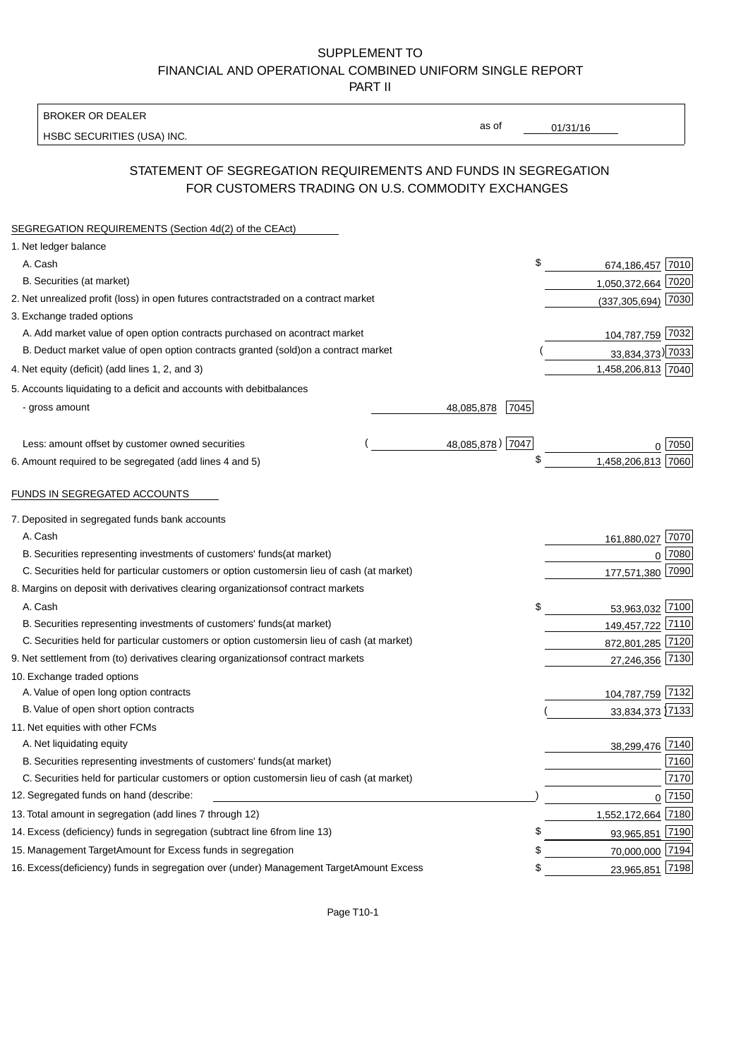BROKER OR DEALER

HSBC SECURITIES (USA) INC.

 $01/31/16$ 

as of

# STATEMENT OF SEGREGATION REQUIREMENTS AND FUNDS IN SEGREGATION FOR CUSTOMERS TRADING ON U.S. COMMODITY EXCHANGES

| SEGREGATION REQUIREMENTS (Section 4d(2) of the CEAct)                                          |                    |                          |                  |
|------------------------------------------------------------------------------------------------|--------------------|--------------------------|------------------|
| 1. Net ledger balance                                                                          |                    |                          |                  |
| A. Cash                                                                                        |                    | \$<br>674,186,457 7010   |                  |
| B. Securities (at market)                                                                      |                    | 1,050,372,664 7020       |                  |
| 2. Net unrealized profit (loss) in open futures contracts<br>traded on a contract market       |                    | $(337, 305, 694)$ 7030   |                  |
| 3. Exchange traded options                                                                     |                    |                          |                  |
| A. Add market value of open option contracts purchased on a<br>contract market                 |                    | 104,787,759 7032         |                  |
| B. Deduct market value of open option contracts granted (sold)<br>on a contract market         |                    | 33,834,373) 7033         |                  |
| 4. Net equity (deficit) (add lines 1, 2, and 3)                                                |                    | 1,458,206,813 7040       |                  |
| 5. Accounts liquidating to a deficit and accounts with debit<br>balances                       |                    |                          |                  |
| - gross amount                                                                                 | 48,085,878<br>7045 |                          |                  |
|                                                                                                |                    |                          |                  |
| Less: amount offset by customer owned securities                                               | 48,085,878) 7047   |                          | ი  7050          |
| 6. Amount required to be segregated (add lines 4 and 5)                                        |                    | \$<br>1,458,206,813 7060 |                  |
|                                                                                                |                    |                          |                  |
| FUNDS IN SEGREGATED ACCOUNTS                                                                   |                    |                          |                  |
| 7. Deposited in segregated funds bank accounts                                                 |                    |                          |                  |
| A. Cash                                                                                        |                    | 161,880,027 7070         |                  |
| B. Securities representing investments of customers' funds<br>(at market)                      |                    |                          | 7080<br>$\Omega$ |
| C. Securities held for particular customers or option customers<br>in lieu of cash (at market) |                    | 177,571,380              | 7090             |
| 8. Margins on deposit with derivatives clearing organizations<br>of contract markets           |                    |                          |                  |
| A. Cash                                                                                        |                    | \$<br>53,963,032 7100    |                  |
| B. Securities representing investments of customers' funds<br>(at market)                      |                    | 149,457,722 7110         |                  |
| C. Securities held for particular customers or option customers<br>in lieu of cash (at market) |                    | 872,801,285 7120         |                  |
| 9. Net settlement from (to) derivatives clearing organizations<br>of contract markets          |                    | 27,246,356 7130          |                  |
| 10. Exchange traded options                                                                    |                    |                          |                  |
| A. Value of open long option contracts                                                         |                    | 104,787,759 7132         |                  |
| B. Value of open short option contracts                                                        |                    | 33,834,373 7133          |                  |
| 11. Net equities with other FCMs                                                               |                    |                          |                  |
| A. Net liquidating equity                                                                      |                    | 38,299,476 7140          |                  |
| B. Securities representing investments of customers' funds<br>(at market)                      |                    |                          | 7160             |
| C. Securities held for particular customers or option customers<br>in lieu of cash (at market) |                    |                          | 7170             |
| 12. Segregated funds on hand (describe:                                                        |                    |                          | $0$ 7150         |
| 13. Total amount in segregation (add lines 7 through 12)                                       |                    | 1,552,172,664 7180       |                  |
| 14. Excess (deficiency) funds in segregation (subtract line 6 from line 13)                    |                    | £<br>93,965,851 7190     |                  |
| 15. Management Target Amount for Excess funds in segregation                                   |                    | 70,000,000 7194<br>\$    |                  |
| 16. Excess (deficiency) funds in segregation over (under) Management Target Amount Excess      |                    | 23,965,851 7198<br>\$    |                  |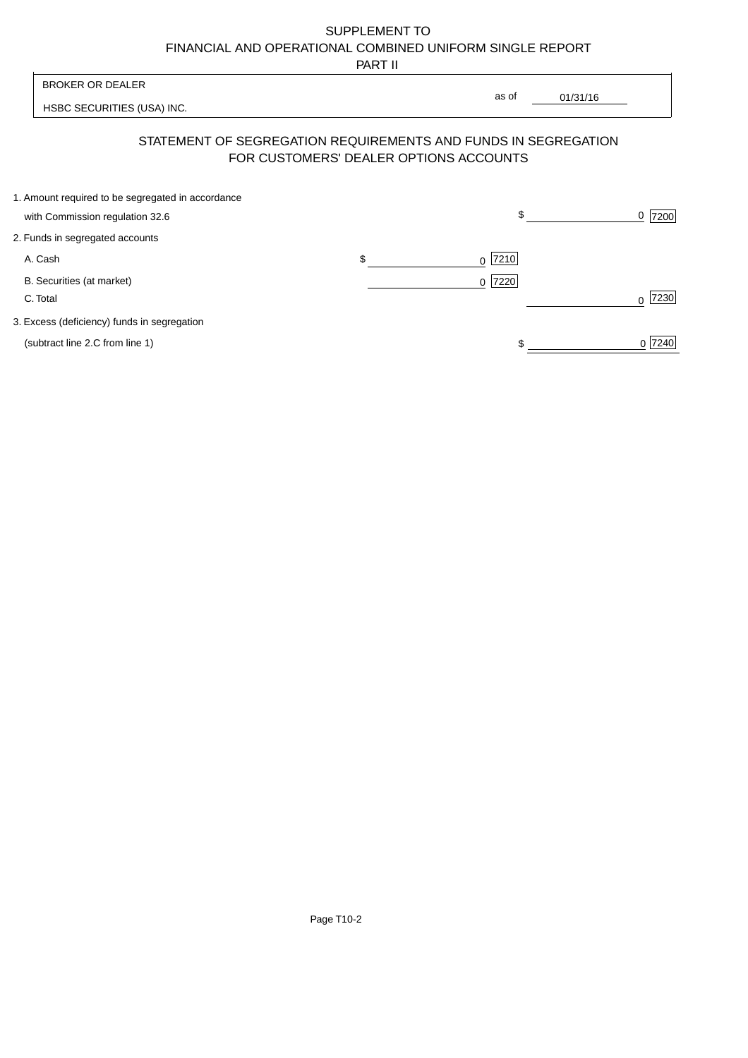PART II

 $\overline{\phantom{a}}$ 

| <b>BROKER OR DEALER</b>                                                              |                                        | as of     |          |           |
|--------------------------------------------------------------------------------------|----------------------------------------|-----------|----------|-----------|
| HSBC SECURITIES (USA) INC.                                                           |                                        |           | 01/31/16 |           |
| STATEMENT OF SEGREGATION REQUIREMENTS AND FUNDS IN SEGREGATION                       | FOR CUSTOMERS' DEALER OPTIONS ACCOUNTS |           |          |           |
| 1. Amount required to be segregated in accordance<br>with Commission regulation 32.6 |                                        | \$        |          | 7200<br>0 |
| 2. Funds in segregated accounts                                                      |                                        |           |          |           |
| A. Cash                                                                              | \$                                     | $0$  7210 |          |           |
| B. Securities (at market)<br>C. Total                                                |                                        | $0$  7220 |          | 7230      |
| 3. Excess (deficiency) funds in segregation                                          |                                        |           |          |           |
| (subtract line 2.C from line 1)                                                      |                                        |           |          | 0 7240    |

 $\overline{1}$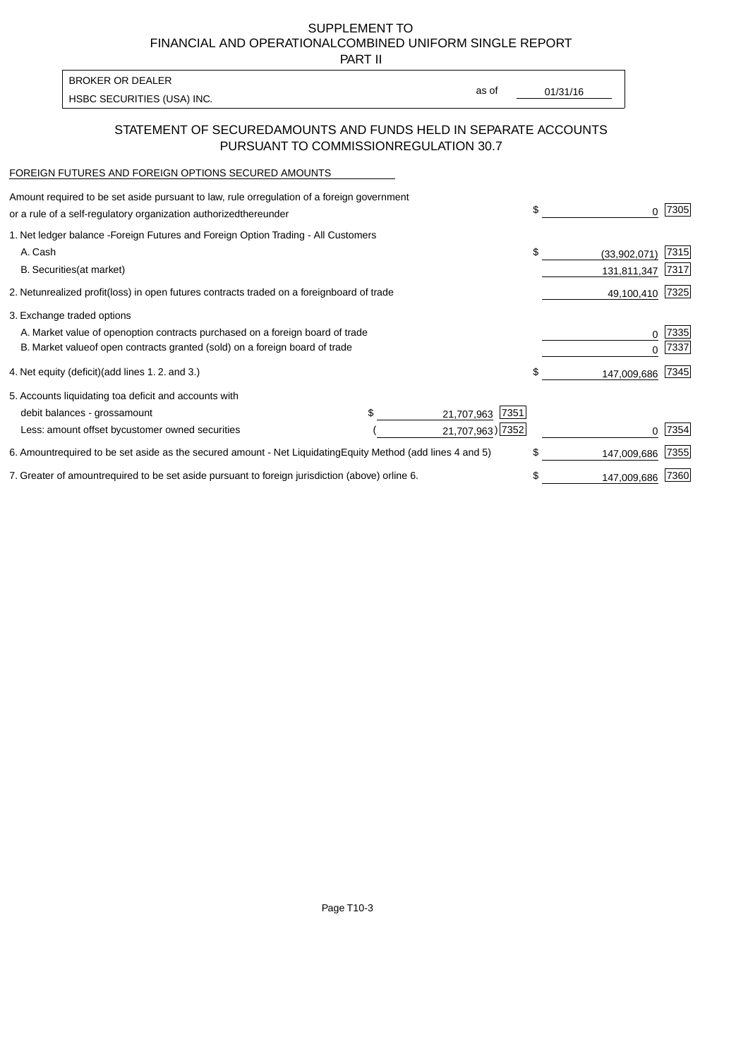PART II

HSBC SECURITIES (USA) INC. The second of the second of the second of the second of the second of the second of the second of the second of the second of the second of the second of the second of the second of the second of BROKER OR DEALER

as of

### STATEMENT OF SECURED AMOUNTS AND FUNDS HELD IN SEPARATE ACCOUNTS PURSUANT TO COMMISSION REGULATION 30.7

#### FOREIGN FUTURES AND FOREIGN OPTIONS SECURED AMOUNTS

| Amount required to be set aside pursuant to law, rule or<br>regulation of a foreign government<br>or a rule of a self-regulatory organization authorized<br>thereunder                       |                                               | \$<br>O.                          | 7305          |
|----------------------------------------------------------------------------------------------------------------------------------------------------------------------------------------------|-----------------------------------------------|-----------------------------------|---------------|
| 1. Net ledger balance - Foreign Futures and Foreign Option Trading - All Customers<br>A. Cash<br><b>B.</b> Securities<br>(at market)                                                         |                                               | \$<br>(33,902,071)<br>131,811,347 | 7315<br> 7317 |
| 2. Net unrealized profit (loss) in open futures contracts traded on a foreign                                                                                                                | board of trade                                | 49,100,410                        | 7325          |
| 3. Exchange traded options<br>A. Market value of open option contracts purchased on a foreign board of trade<br>B. Market value of open contracts granted (sold) on a foreign board of trade |                                               | 0<br><sup>0</sup>                 | 7335<br>7337  |
| 4. Net equity (deficit) (add lines 1.2. and 3.)                                                                                                                                              |                                               | \$<br>147,009,686                 | 7345          |
| 5. Accounts liquidating to a deficit and accounts with<br>debit balances - gross<br>amount<br>Less: amount offset by customer owned securities                                               | 7351<br>\$.<br>21,707,963<br>21,707,963) 7352 |                                   | 7354          |
| 6. Amount required to be set aside as the secured amount - Net Liquidating                                                                                                                   | Equity Method (add lines 4 and 5)             | \$<br>147,009,686                 | 7355          |
| 7. Greater of amount required to be set aside pursuant to foreign jurisdiction (above) or                                                                                                    | line 6.                                       | \$<br>147,009,686                 | 7360          |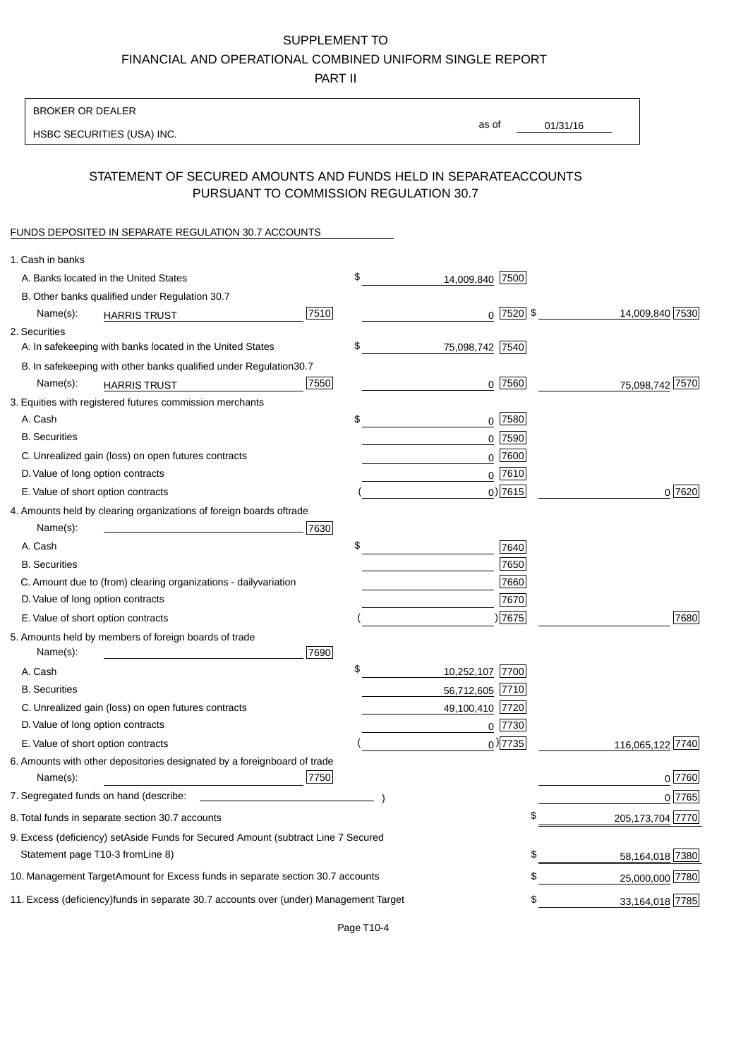PART II

| as of<br>01/31/16<br>HSBC SECURITIES (USA) INC.<br>STATEMENT OF SECURED AMOUNTS AND FUNDS HELD IN SEPARATE<br><b>ACCOUNTS</b><br>PURSUANT TO COMMISSION REGULATION 30.7<br>FUNDS DEPOSITED IN SEPARATE REGULATION 30.7 ACCOUNTS<br>1. Cash in banks<br>\$<br>A. Banks located in the United States<br>14,009,840 7500<br>B. Other banks qualified under Regulation 30.7<br>7510<br>$0$   7520   \$<br>14,009,840 7530<br>Name(s):<br><b>HARRIS TRUST</b><br>2. Securities<br>\$<br>A. In safekeeping with banks located in the United States<br>75,098,742 7540<br>30.7<br>B. In safekeeping with other banks qualified under Regulation<br>7550<br>$0$  7560 <br>75,098,742 7570<br>Name(s):<br><b>HARRIS TRUST</b><br>3. Equities with registered futures commission merchants<br>A. Cash<br>\$<br>$0$ 7580<br><b>B.</b> Securities<br>$0$ 7590<br>$0$ 7600<br>C. Unrealized gain (loss) on open futures contracts<br>$0$ 7610<br>D. Value of long option contracts<br>$0$ ) 7615<br>0 7620<br>E. Value of short option contracts<br>4. Amounts held by clearing organizations of foreign boards of<br>trade<br>Name(s):<br>7630<br>\$<br>A. Cash<br>7640<br>7650<br><b>B.</b> Securities<br>7660<br>C. Amount due to (from) clearing organizations - daily<br>variation<br>D. Value of long option contracts<br>7670<br>17675<br>7680<br>E. Value of short option contracts<br>5. Amounts held by members of foreign boards of trade<br>Name(s):<br>7690<br>\$<br>A. Cash<br>10,252,107 7700<br><b>B.</b> Securities<br>56,712,605 7710<br>C. Unrealized gain (loss) on open futures contracts<br>49,100,410 7720<br>D. Value of long option contracts<br>$0$ 7730<br>$_0$ ) 7735<br>116,065,122 7740<br>E. Value of short option contracts<br>6. Amounts with other depositories designated by a foreign<br>board of trade<br>7750<br>0 7760<br>Name(s):<br>7. Segregated funds on hand (describe:<br>0 7765<br>\$<br>205, 173, 704 7770<br>8. Total funds in separate section 30.7 accounts<br>9. Excess (deficiency) set Aside Funds for Secured Amount (subtract Line 7 Secured<br>Statement page T10-3 from Line 8)<br>\$<br>58,164,018 7380<br>\$<br>10. Management Target Amount for Excess funds in separate section 30.7 accounts<br>25,000,000 7780<br>33,164,018 7785<br>11. Excess (deficiency) funds in separate 30.7 accounts over (under) Management Target<br>\$ | <b>BROKER OR DEALER</b> |  |  |  |
|-------------------------------------------------------------------------------------------------------------------------------------------------------------------------------------------------------------------------------------------------------------------------------------------------------------------------------------------------------------------------------------------------------------------------------------------------------------------------------------------------------------------------------------------------------------------------------------------------------------------------------------------------------------------------------------------------------------------------------------------------------------------------------------------------------------------------------------------------------------------------------------------------------------------------------------------------------------------------------------------------------------------------------------------------------------------------------------------------------------------------------------------------------------------------------------------------------------------------------------------------------------------------------------------------------------------------------------------------------------------------------------------------------------------------------------------------------------------------------------------------------------------------------------------------------------------------------------------------------------------------------------------------------------------------------------------------------------------------------------------------------------------------------------------------------------------------------------------------------------------------------------------------------------------------------------------------------------------------------------------------------------------------------------------------------------------------------------------------------------------------------------------------------------------------------------------------------------------------------------------------------------------------------------------------------------------------------------------------------------------------------------|-------------------------|--|--|--|
|                                                                                                                                                                                                                                                                                                                                                                                                                                                                                                                                                                                                                                                                                                                                                                                                                                                                                                                                                                                                                                                                                                                                                                                                                                                                                                                                                                                                                                                                                                                                                                                                                                                                                                                                                                                                                                                                                                                                                                                                                                                                                                                                                                                                                                                                                                                                                                                     |                         |  |  |  |
|                                                                                                                                                                                                                                                                                                                                                                                                                                                                                                                                                                                                                                                                                                                                                                                                                                                                                                                                                                                                                                                                                                                                                                                                                                                                                                                                                                                                                                                                                                                                                                                                                                                                                                                                                                                                                                                                                                                                                                                                                                                                                                                                                                                                                                                                                                                                                                                     |                         |  |  |  |
|                                                                                                                                                                                                                                                                                                                                                                                                                                                                                                                                                                                                                                                                                                                                                                                                                                                                                                                                                                                                                                                                                                                                                                                                                                                                                                                                                                                                                                                                                                                                                                                                                                                                                                                                                                                                                                                                                                                                                                                                                                                                                                                                                                                                                                                                                                                                                                                     |                         |  |  |  |
|                                                                                                                                                                                                                                                                                                                                                                                                                                                                                                                                                                                                                                                                                                                                                                                                                                                                                                                                                                                                                                                                                                                                                                                                                                                                                                                                                                                                                                                                                                                                                                                                                                                                                                                                                                                                                                                                                                                                                                                                                                                                                                                                                                                                                                                                                                                                                                                     |                         |  |  |  |
|                                                                                                                                                                                                                                                                                                                                                                                                                                                                                                                                                                                                                                                                                                                                                                                                                                                                                                                                                                                                                                                                                                                                                                                                                                                                                                                                                                                                                                                                                                                                                                                                                                                                                                                                                                                                                                                                                                                                                                                                                                                                                                                                                                                                                                                                                                                                                                                     |                         |  |  |  |
|                                                                                                                                                                                                                                                                                                                                                                                                                                                                                                                                                                                                                                                                                                                                                                                                                                                                                                                                                                                                                                                                                                                                                                                                                                                                                                                                                                                                                                                                                                                                                                                                                                                                                                                                                                                                                                                                                                                                                                                                                                                                                                                                                                                                                                                                                                                                                                                     |                         |  |  |  |
|                                                                                                                                                                                                                                                                                                                                                                                                                                                                                                                                                                                                                                                                                                                                                                                                                                                                                                                                                                                                                                                                                                                                                                                                                                                                                                                                                                                                                                                                                                                                                                                                                                                                                                                                                                                                                                                                                                                                                                                                                                                                                                                                                                                                                                                                                                                                                                                     |                         |  |  |  |
|                                                                                                                                                                                                                                                                                                                                                                                                                                                                                                                                                                                                                                                                                                                                                                                                                                                                                                                                                                                                                                                                                                                                                                                                                                                                                                                                                                                                                                                                                                                                                                                                                                                                                                                                                                                                                                                                                                                                                                                                                                                                                                                                                                                                                                                                                                                                                                                     |                         |  |  |  |
|                                                                                                                                                                                                                                                                                                                                                                                                                                                                                                                                                                                                                                                                                                                                                                                                                                                                                                                                                                                                                                                                                                                                                                                                                                                                                                                                                                                                                                                                                                                                                                                                                                                                                                                                                                                                                                                                                                                                                                                                                                                                                                                                                                                                                                                                                                                                                                                     |                         |  |  |  |
|                                                                                                                                                                                                                                                                                                                                                                                                                                                                                                                                                                                                                                                                                                                                                                                                                                                                                                                                                                                                                                                                                                                                                                                                                                                                                                                                                                                                                                                                                                                                                                                                                                                                                                                                                                                                                                                                                                                                                                                                                                                                                                                                                                                                                                                                                                                                                                                     |                         |  |  |  |
|                                                                                                                                                                                                                                                                                                                                                                                                                                                                                                                                                                                                                                                                                                                                                                                                                                                                                                                                                                                                                                                                                                                                                                                                                                                                                                                                                                                                                                                                                                                                                                                                                                                                                                                                                                                                                                                                                                                                                                                                                                                                                                                                                                                                                                                                                                                                                                                     |                         |  |  |  |
|                                                                                                                                                                                                                                                                                                                                                                                                                                                                                                                                                                                                                                                                                                                                                                                                                                                                                                                                                                                                                                                                                                                                                                                                                                                                                                                                                                                                                                                                                                                                                                                                                                                                                                                                                                                                                                                                                                                                                                                                                                                                                                                                                                                                                                                                                                                                                                                     |                         |  |  |  |
|                                                                                                                                                                                                                                                                                                                                                                                                                                                                                                                                                                                                                                                                                                                                                                                                                                                                                                                                                                                                                                                                                                                                                                                                                                                                                                                                                                                                                                                                                                                                                                                                                                                                                                                                                                                                                                                                                                                                                                                                                                                                                                                                                                                                                                                                                                                                                                                     |                         |  |  |  |
|                                                                                                                                                                                                                                                                                                                                                                                                                                                                                                                                                                                                                                                                                                                                                                                                                                                                                                                                                                                                                                                                                                                                                                                                                                                                                                                                                                                                                                                                                                                                                                                                                                                                                                                                                                                                                                                                                                                                                                                                                                                                                                                                                                                                                                                                                                                                                                                     |                         |  |  |  |
|                                                                                                                                                                                                                                                                                                                                                                                                                                                                                                                                                                                                                                                                                                                                                                                                                                                                                                                                                                                                                                                                                                                                                                                                                                                                                                                                                                                                                                                                                                                                                                                                                                                                                                                                                                                                                                                                                                                                                                                                                                                                                                                                                                                                                                                                                                                                                                                     |                         |  |  |  |
|                                                                                                                                                                                                                                                                                                                                                                                                                                                                                                                                                                                                                                                                                                                                                                                                                                                                                                                                                                                                                                                                                                                                                                                                                                                                                                                                                                                                                                                                                                                                                                                                                                                                                                                                                                                                                                                                                                                                                                                                                                                                                                                                                                                                                                                                                                                                                                                     |                         |  |  |  |
|                                                                                                                                                                                                                                                                                                                                                                                                                                                                                                                                                                                                                                                                                                                                                                                                                                                                                                                                                                                                                                                                                                                                                                                                                                                                                                                                                                                                                                                                                                                                                                                                                                                                                                                                                                                                                                                                                                                                                                                                                                                                                                                                                                                                                                                                                                                                                                                     |                         |  |  |  |
|                                                                                                                                                                                                                                                                                                                                                                                                                                                                                                                                                                                                                                                                                                                                                                                                                                                                                                                                                                                                                                                                                                                                                                                                                                                                                                                                                                                                                                                                                                                                                                                                                                                                                                                                                                                                                                                                                                                                                                                                                                                                                                                                                                                                                                                                                                                                                                                     |                         |  |  |  |
|                                                                                                                                                                                                                                                                                                                                                                                                                                                                                                                                                                                                                                                                                                                                                                                                                                                                                                                                                                                                                                                                                                                                                                                                                                                                                                                                                                                                                                                                                                                                                                                                                                                                                                                                                                                                                                                                                                                                                                                                                                                                                                                                                                                                                                                                                                                                                                                     |                         |  |  |  |
|                                                                                                                                                                                                                                                                                                                                                                                                                                                                                                                                                                                                                                                                                                                                                                                                                                                                                                                                                                                                                                                                                                                                                                                                                                                                                                                                                                                                                                                                                                                                                                                                                                                                                                                                                                                                                                                                                                                                                                                                                                                                                                                                                                                                                                                                                                                                                                                     |                         |  |  |  |
|                                                                                                                                                                                                                                                                                                                                                                                                                                                                                                                                                                                                                                                                                                                                                                                                                                                                                                                                                                                                                                                                                                                                                                                                                                                                                                                                                                                                                                                                                                                                                                                                                                                                                                                                                                                                                                                                                                                                                                                                                                                                                                                                                                                                                                                                                                                                                                                     |                         |  |  |  |
|                                                                                                                                                                                                                                                                                                                                                                                                                                                                                                                                                                                                                                                                                                                                                                                                                                                                                                                                                                                                                                                                                                                                                                                                                                                                                                                                                                                                                                                                                                                                                                                                                                                                                                                                                                                                                                                                                                                                                                                                                                                                                                                                                                                                                                                                                                                                                                                     |                         |  |  |  |
|                                                                                                                                                                                                                                                                                                                                                                                                                                                                                                                                                                                                                                                                                                                                                                                                                                                                                                                                                                                                                                                                                                                                                                                                                                                                                                                                                                                                                                                                                                                                                                                                                                                                                                                                                                                                                                                                                                                                                                                                                                                                                                                                                                                                                                                                                                                                                                                     |                         |  |  |  |
|                                                                                                                                                                                                                                                                                                                                                                                                                                                                                                                                                                                                                                                                                                                                                                                                                                                                                                                                                                                                                                                                                                                                                                                                                                                                                                                                                                                                                                                                                                                                                                                                                                                                                                                                                                                                                                                                                                                                                                                                                                                                                                                                                                                                                                                                                                                                                                                     |                         |  |  |  |
|                                                                                                                                                                                                                                                                                                                                                                                                                                                                                                                                                                                                                                                                                                                                                                                                                                                                                                                                                                                                                                                                                                                                                                                                                                                                                                                                                                                                                                                                                                                                                                                                                                                                                                                                                                                                                                                                                                                                                                                                                                                                                                                                                                                                                                                                                                                                                                                     |                         |  |  |  |
|                                                                                                                                                                                                                                                                                                                                                                                                                                                                                                                                                                                                                                                                                                                                                                                                                                                                                                                                                                                                                                                                                                                                                                                                                                                                                                                                                                                                                                                                                                                                                                                                                                                                                                                                                                                                                                                                                                                                                                                                                                                                                                                                                                                                                                                                                                                                                                                     |                         |  |  |  |
|                                                                                                                                                                                                                                                                                                                                                                                                                                                                                                                                                                                                                                                                                                                                                                                                                                                                                                                                                                                                                                                                                                                                                                                                                                                                                                                                                                                                                                                                                                                                                                                                                                                                                                                                                                                                                                                                                                                                                                                                                                                                                                                                                                                                                                                                                                                                                                                     |                         |  |  |  |
|                                                                                                                                                                                                                                                                                                                                                                                                                                                                                                                                                                                                                                                                                                                                                                                                                                                                                                                                                                                                                                                                                                                                                                                                                                                                                                                                                                                                                                                                                                                                                                                                                                                                                                                                                                                                                                                                                                                                                                                                                                                                                                                                                                                                                                                                                                                                                                                     |                         |  |  |  |
|                                                                                                                                                                                                                                                                                                                                                                                                                                                                                                                                                                                                                                                                                                                                                                                                                                                                                                                                                                                                                                                                                                                                                                                                                                                                                                                                                                                                                                                                                                                                                                                                                                                                                                                                                                                                                                                                                                                                                                                                                                                                                                                                                                                                                                                                                                                                                                                     |                         |  |  |  |
|                                                                                                                                                                                                                                                                                                                                                                                                                                                                                                                                                                                                                                                                                                                                                                                                                                                                                                                                                                                                                                                                                                                                                                                                                                                                                                                                                                                                                                                                                                                                                                                                                                                                                                                                                                                                                                                                                                                                                                                                                                                                                                                                                                                                                                                                                                                                                                                     |                         |  |  |  |
|                                                                                                                                                                                                                                                                                                                                                                                                                                                                                                                                                                                                                                                                                                                                                                                                                                                                                                                                                                                                                                                                                                                                                                                                                                                                                                                                                                                                                                                                                                                                                                                                                                                                                                                                                                                                                                                                                                                                                                                                                                                                                                                                                                                                                                                                                                                                                                                     |                         |  |  |  |
|                                                                                                                                                                                                                                                                                                                                                                                                                                                                                                                                                                                                                                                                                                                                                                                                                                                                                                                                                                                                                                                                                                                                                                                                                                                                                                                                                                                                                                                                                                                                                                                                                                                                                                                                                                                                                                                                                                                                                                                                                                                                                                                                                                                                                                                                                                                                                                                     |                         |  |  |  |
|                                                                                                                                                                                                                                                                                                                                                                                                                                                                                                                                                                                                                                                                                                                                                                                                                                                                                                                                                                                                                                                                                                                                                                                                                                                                                                                                                                                                                                                                                                                                                                                                                                                                                                                                                                                                                                                                                                                                                                                                                                                                                                                                                                                                                                                                                                                                                                                     |                         |  |  |  |
|                                                                                                                                                                                                                                                                                                                                                                                                                                                                                                                                                                                                                                                                                                                                                                                                                                                                                                                                                                                                                                                                                                                                                                                                                                                                                                                                                                                                                                                                                                                                                                                                                                                                                                                                                                                                                                                                                                                                                                                                                                                                                                                                                                                                                                                                                                                                                                                     |                         |  |  |  |
|                                                                                                                                                                                                                                                                                                                                                                                                                                                                                                                                                                                                                                                                                                                                                                                                                                                                                                                                                                                                                                                                                                                                                                                                                                                                                                                                                                                                                                                                                                                                                                                                                                                                                                                                                                                                                                                                                                                                                                                                                                                                                                                                                                                                                                                                                                                                                                                     |                         |  |  |  |
|                                                                                                                                                                                                                                                                                                                                                                                                                                                                                                                                                                                                                                                                                                                                                                                                                                                                                                                                                                                                                                                                                                                                                                                                                                                                                                                                                                                                                                                                                                                                                                                                                                                                                                                                                                                                                                                                                                                                                                                                                                                                                                                                                                                                                                                                                                                                                                                     |                         |  |  |  |
|                                                                                                                                                                                                                                                                                                                                                                                                                                                                                                                                                                                                                                                                                                                                                                                                                                                                                                                                                                                                                                                                                                                                                                                                                                                                                                                                                                                                                                                                                                                                                                                                                                                                                                                                                                                                                                                                                                                                                                                                                                                                                                                                                                                                                                                                                                                                                                                     |                         |  |  |  |
|                                                                                                                                                                                                                                                                                                                                                                                                                                                                                                                                                                                                                                                                                                                                                                                                                                                                                                                                                                                                                                                                                                                                                                                                                                                                                                                                                                                                                                                                                                                                                                                                                                                                                                                                                                                                                                                                                                                                                                                                                                                                                                                                                                                                                                                                                                                                                                                     |                         |  |  |  |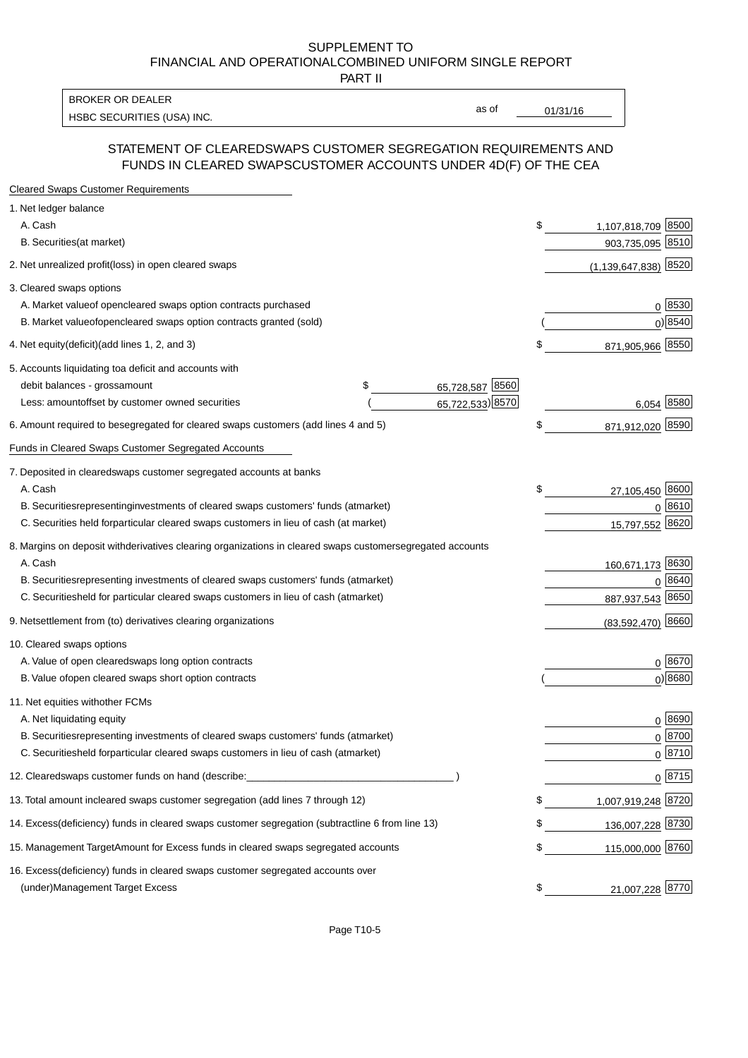PART II

HSBC SECURITIES (USA) INC. The contract of the contract of the contract of the contract of the contract of the contract of the contract of the contract of the contract of the contract of the contract of the contract of the BROKER OR DEALER

as of

#### STATEMENT OF CLEARED SWAPS CUSTOMER SEGREGATION REQUIREMENTS AND FUNDS IN CLEARED SWAPS CUSTOMER ACCOUNTS UNDER 4D(F) OF THE CEA

| <b>Cleared Swaps Customer Requirements</b>                                                                  |    |                           |
|-------------------------------------------------------------------------------------------------------------|----|---------------------------|
| 1. Net ledger balance                                                                                       |    |                           |
| A. Cash                                                                                                     | \$ | 1,107,818,709 8500        |
| B. Securities (at market)                                                                                   |    | 903,735,095 8510          |
| 2. Net unrealized profit (loss) in open cleared swaps                                                       |    | $(1, 139, 647, 838)$ 8520 |
| 3. Cleared swaps options                                                                                    |    |                           |
| A. Market value of open cleared swaps option contracts purchased                                            |    | 0   8530                  |
| B. Market value of open cleared swaps option contracts granted (sold)                                       |    | $0)$ 8540                 |
| 4. Net equity (deficit) (add lines 1, 2, and 3)                                                             | \$ | 871,905,966 8550          |
| 5. Accounts liquidating to a deficit and accounts with                                                      |    |                           |
| 65,728,587 8560<br>debit balances - gross amount<br>\$                                                      |    |                           |
| 65,722,533) 8570<br>Less: amount offset by customer owned securities                                        |    | 6,054 8580                |
| 6. Amount required to be segregated for cleared swaps customers (add lines 4 and 5)                         | \$ | 871,912,020 8590          |
| Funds in Cleared Swaps Customer Segregated Accounts                                                         |    |                           |
| 7. Deposited in cleared swaps customer segregated accounts at banks                                         |    |                           |
| A. Cash                                                                                                     | \$ | 27,105,450 8600           |
| B. Securities representing investments of cleared swaps customers' funds (at market)                        |    | 0 8610                    |
| C. Securities held for particular cleared swaps customers in lieu of cash (at market)                       |    | 15,797,552 8620           |
| 8. Margins on deposit with derivatives clearing organizations in cleared swaps customer segregated accounts |    |                           |
| A. Cash                                                                                                     |    | 160,671,173 8630          |
| B. Securities representing investments of cleared swaps customers' funds (at market)                        |    | 8640<br>0                 |
| C. Securities<br>held for particular cleared swaps customers in lieu of cash (at market)                    |    | 887,937,543 8650          |
| 9. Net settlement from (to) derivatives clearing organizations                                              |    | $(83,592,470)$ 8660       |
| 10. Cleared swaps options                                                                                   |    |                           |
| A. Value of open cleared swaps long option contracts                                                        |    | $0^{8670}$                |
| B. Value of open cleared swaps short option contracts                                                       |    | $0)$ 8680                 |
| 11. Net equities with other FCMs                                                                            |    |                           |
| A. Net liquidating equity                                                                                   |    | $0^{8690}$                |
| B. Securities representing investments of cleared swaps customers' funds (at market)                        |    | $0 \frac{8700}{ }$        |
| C. Securities held for particular cleared swaps customers in lieu of cash (at market)                       |    | 0 8710                    |
| 12. Cleared swaps customer funds on hand (describe:                                                         |    | $0 \;  8715 $             |
| 13. Total amount in cleared swaps customer segregation (add lines 7 through 12)                             | S  | 1,007,919,248 8720        |
| 14. Excess (deficiency) funds in cleared swaps customer segregation (subtract line 6 from line 13)          |    | 136,007,228 8730          |
| 15. Management Target Amount for Excess funds in cleared swaps segregated accounts                          | \$ | 115,000,000 8760          |
| 16. Excess<br>(deficiency) funds in cleared swaps customer segregated accounts over                         |    |                           |
| <b>Management Target Excess</b><br>(under)                                                                  | \$ | 21,007,228 8770           |